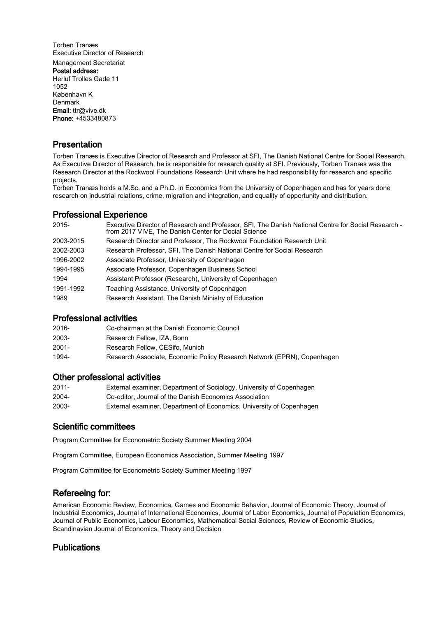Torben Tranæs Executive Director of Research Management Secretariat Postal address: Herluf Trolles Gade 11 1052 København K Denmark Email: ttr@vive.dk Phone: +4533480873

## **Presentation**

Torben Tranæs is Executive Director of Research and Professor at SFI, The Danish National Centre for Social Research. As Executive Director of Research, he is responsible for research quality at SFI. Previously, Torben Tranæs was the Research Director at the Rockwool Foundations Research Unit where he had responsibility for research and specific projects.

Torben Tranæs holds a M.Sc. and a Ph.D. in Economics from the University of Copenhagen and has for years done research on industrial relations, crime, migration and integration, and equality of opportunity and distribution.

#### Professional Experience

| 2015-     | Executive Director of Research and Professor, SFI, The Danish National Centre for Social Research -<br>from 2017 VIVE, The Danish Center for Docial Science |
|-----------|-------------------------------------------------------------------------------------------------------------------------------------------------------------|
| 2003-2015 | Research Director and Professor, The Rockwool Foundation Research Unit                                                                                      |
| 2002-2003 | Research Professor, SFI, The Danish National Centre for Social Research                                                                                     |
| 1996-2002 | Associate Professor, University of Copenhagen                                                                                                               |
| 1994-1995 | Associate Professor, Copenhagen Business School                                                                                                             |
| 1994      | Assistant Professor (Research), University of Copenhagen                                                                                                    |
| 1991-1992 | Teaching Assistance, University of Copenhagen                                                                                                               |
| 1989      | Research Assistant, The Danish Ministry of Education                                                                                                        |

### Professional activities

| 2016- | Co-chairman at the Danish Economic Council                              |
|-------|-------------------------------------------------------------------------|
| 2003- | Research Fellow. IZA. Bonn                                              |
| 2001- | Research Fellow, CESifo, Munich                                         |
| 1994- | Research Associate, Economic Policy Research Network (EPRN), Copenhagen |

#### Other professional activities

| 2011- | External examiner, Department of Sociology, University of Copenhagen |
|-------|----------------------------------------------------------------------|
| 2004- | Co-editor, Journal of the Danish Economics Association               |
| 2003- | External examiner, Department of Economics, University of Copenhagen |

### Scientific committees

Program Committee for Econometric Society Summer Meeting 2004

Program Committee, European Economics Association, Summer Meeting 1997

Program Committee for Econometric Society Summer Meeting 1997

### Refereeing for:

American Economic Review, Economica, Games and Economic Behavior, Journal of Economic Theory, Journal of Industrial Economics, Journal of International Economics, Journal of Labor Economics, Journal of Population Economics, Journal of Public Economics, Labour Economics, Mathematical Social Sciences, Review of Economic Studies, Scandinavian Journal of Economics, Theory and Decision

## Publications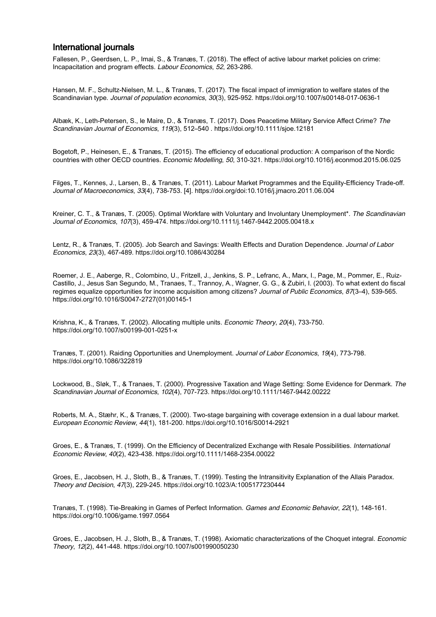## International journals

Fallesen, P., Geerdsen, L. P., Imai, S., & Tranæs, T. (2018). The effect of active labour market policies on crime: Incapacitation and program effects. Labour Economics, 52, 263-286.

Hansen, M. F., Schultz-Nielsen, M. L., & Tranæs, T. (2017). The fiscal impact of immigration to welfare states of the Scandinavian type. Journal of population economics, 30(3), 925-952. https://doi.org/10.1007/s00148-017-0636-1

Albæk, K., Leth-Petersen, S., le Maire, D., & Tranæs, T. (2017). Does Peacetime Military Service Affect Crime? The Scandinavian Journal of Economics, 119(3), 512–540 . https://doi.org/10.1111/sjoe.12181

Bogetoft, P., Heinesen, E., & Tranæs, T. (2015). The efficiency of educational production: A comparison of the Nordic countries with other OECD countries. Economic Modelling, 50, 310-321. https://doi.org/10.1016/j.econmod.2015.06.025

Filges, T., Kennes, J., Larsen, B., & Tranæs, T. (2011). Labour Market Programmes and the Equility-Efficiency Trade-off. Journal of Macroeconomics, 33(4), 738-753. [4]. https://doi.org/doi:10.1016/j.jmacro.2011.06.004

Kreiner, C. T., & Tranæs, T. (2005). Optimal Workfare with Voluntary and Involuntary Unemployment\*. The Scandinavian Journal of Economics, 107(3), 459-474. https://doi.org/10.1111/j.1467-9442.2005.00418.x

Lentz, R., & Tranæs, T. (2005). Job Search and Savings: Wealth Effects and Duration Dependence. Journal of Labor Economics, 23(3), 467-489. https://doi.org/10.1086/430284

Roemer, J. E., Aaberge, R., Colombino, U., Fritzell, J., Jenkins, S. P., Lefranc, A., Marx, I., Page, M., Pommer, E., Ruiz-Castillo, J., Jesus San Segundo, M., Tranaes, T., Trannoy, A., Wagner, G. G., & Zubiri, I. (2003). To what extent do fiscal regimes equalize opportunities for income acquisition among citizens? Journal of Public Economics, 87(3–4), 539-565. https://doi.org/10.1016/S0047-2727(01)00145-1

Krishna, K., & Tranæs, T. (2002). Allocating multiple units. Economic Theory, 20(4), 733-750. https://doi.org/10.1007/s00199-001-0251-x

Tranæs, T. (2001). Raiding Opportunities and Unemployment. Journal of Labor Economics, 19(4), 773-798. https://doi.org/10.1086/322819

Lockwood, B., Sløk, T., & Tranaes, T. (2000). Progressive Taxation and Wage Setting: Some Evidence for Denmark. The Scandinavian Journal of Economics, 102(4), 707-723. https://doi.org/10.1111/1467-9442.00222

Roberts, M. A., Stæhr, K., & Tranæs, T. (2000). Two-stage bargaining with coverage extension in a dual labour market. European Economic Review, 44(1), 181-200. https://doi.org/10.1016/S0014-2921

Groes, E., & Tranæs, T. (1999). On the Efficiency of Decentralized Exchange with Resale Possibilities. International Economic Review, 40(2), 423-438. https://doi.org/10.1111/1468-2354.00022

Groes, E., Jacobsen, H. J., Sloth, B., & Tranæs, T. (1999). Testing the Intransitivity Explanation of the Allais Paradox. Theory and Decision, 47(3), 229-245. https://doi.org/10.1023/A:1005177230444

Tranæs, T. (1998). Tie-Breaking in Games of Perfect Information. Games and Economic Behavior, 22(1), 148-161. https://doi.org/10.1006/game.1997.0564

Groes, E., Jacobsen, H. J., Sloth, B., & Tranæs, T. (1998). Axiomatic characterizations of the Choquet integral. Economic Theory, 12(2), 441-448. https://doi.org/10.1007/s001990050230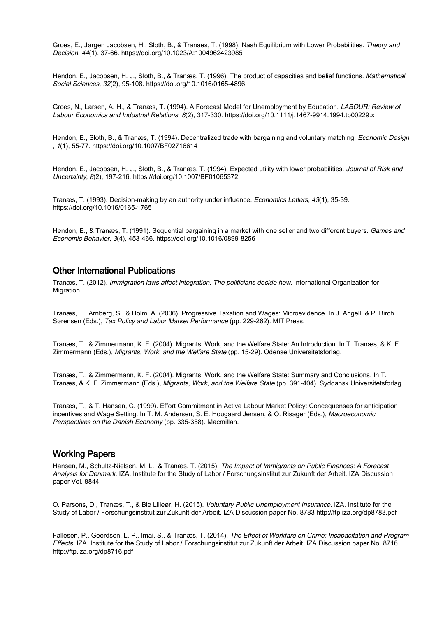Groes, E., Jørgen Jacobsen, H., Sloth, B., & Tranaes, T. (1998). Nash Equilibrium with Lower Probabilities. Theory and Decision, 44(1), 37-66. https://doi.org/10.1023/A:1004962423985

Hendon, E., Jacobsen, H. J., Sloth, B., & Tranæs, T. (1996). The product of capacities and belief functions. Mathematical Social Sciences, 32(2), 95-108. https://doi.org/10.1016/0165-4896

Groes, N., Larsen, A. H., & Tranæs, T. (1994). A Forecast Model for Unemployment by Education. LABOUR: Review of Labour Economics and Industrial Relations, 8(2), 317-330. https://doi.org/10.1111/j.1467-9914.1994.tb00229.x

Hendon, E., Sloth, B., & Tranæs, T. (1994). Decentralized trade with bargaining and voluntary matching. *Economic Design* , 1(1), 55-77. https://doi.org/10.1007/BF02716614

Hendon, E., Jacobsen, H. J., Sloth, B., & Tranæs, T. (1994). Expected utility with lower probabilities. Journal of Risk and Uncertainty, 8(2), 197-216. https://doi.org/10.1007/BF01065372

Tranæs, T. (1993). Decision-making by an authority under influence. Economics Letters, 43(1), 35-39. https://doi.org/10.1016/0165-1765

Hendon, E., & Tranæs, T. (1991). Sequential bargaining in a market with one seller and two different buyers. Games and Economic Behavior, 3(4), 453-466. https://doi.org/10.1016/0899-8256

# Other International Publications

Tranæs, T. (2012). Immigration laws affect integration: The politicians decide how. International Organization for Migration.

Tranæs, T., Arnberg, S., & Holm, A. (2006). Progressive Taxation and Wages: Microevidence. In J. Angell, & P. Birch Sørensen (Eds.), Tax Policy and Labor Market Performance (pp. 229-262). MIT Press.

Tranæs, T., & Zimmermann, K. F. (2004). Migrants, Work, and the Welfare State: An Introduction. In T. Tranæs, & K. F. Zimmermann (Eds.), Migrants, Work, and the Welfare State (pp. 15-29). Odense Universitetsforlag.

Tranæs, T., & Zimmermann, K. F. (2004). Migrants, Work, and the Welfare State: Summary and Conclusions. In T. Tranæs, & K. F. Zimmermann (Eds.), Migrants, Work, and the Welfare State (pp. 391-404). Syddansk Universitetsforlag.

Tranæs, T., & T. Hansen, C. (1999). Effort Commitment in Active Labour Market Policy: Concequenses for anticipation incentives and Wage Setting. In T. M. Andersen, S. E. Hougaard Jensen, & O. Risager (Eds.), Macroeconomic Perspectives on the Danish Economy (pp. 335-358). Macmillan.

#### Working Papers

Hansen, M., Schultz-Nielsen, M. L., & Tranæs, T. (2015). The Impact of Immigrants on Public Finances: A Forecast Analysis for Denmark. IZA. Institute for the Study of Labor / Forschungsinstitut zur Zukunft der Arbeit. IZA Discussion paper Vol. 8844

O. Parsons, D., Tranæs, T., & Bie Lilleør, H. (2015). Voluntary Public Unemployment Insurance. IZA. Institute for the Study of Labor / Forschungsinstitut zur Zukunft der Arbeit. IZA Discussion paper No. 8783 http://ftp.iza.org/dp8783.pdf

Fallesen, P., Geerdsen, L. P., Imai, S., & Tranæs, T. (2014). The Effect of Workfare on Crime: Incapacitation and Program Effects. IZA. Institute for the Study of Labor / Forschungsinstitut zur Zukunft der Arbeit. IZA Discussion paper No. 8716 http://ftp.iza.org/dp8716.pdf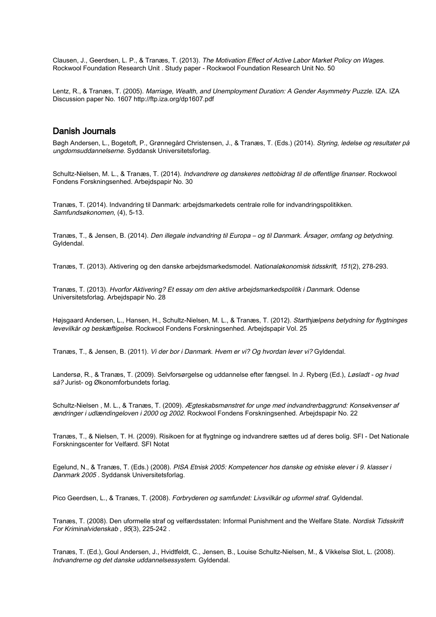Clausen, J., Geerdsen, L. P., & Tranæs, T. (2013). The Motivation Effect of Active Labor Market Policy on Wages. Rockwool Foundation Research Unit . Study paper - Rockwool Foundation Research Unit No. 50

Lentz, R., & Tranæs, T. (2005). Marriage, Wealth, and Unemployment Duration: A Gender Asymmetry Puzzle. IZA. IZA Discussion paper No. 1607 http://ftp.iza.org/dp1607.pdf

#### Danish Journals

Bøgh Andersen, L., Bogetoft, P., Grønnegård Christensen, J., & Tranæs, T. (Eds.) (2014). Styring, ledelse og resultater på ungdomsuddannelserne. Syddansk Universitetsforlag.

Schultz-Nielsen, M. L., & Tranæs, T. (2014). Indvandrere og danskeres nettobidrag til de offentlige finanser. Rockwool Fondens Forskningsenhed. Arbejdspapir No. 30

Tranæs, T. (2014). Indvandring til Danmark: arbejdsmarkedets centrale rolle for indvandringspolitikken. Samfundsøkonomen, (4), 5-13.

Tranæs, T., & Jensen, B. (2014). Den illegale indvandring til Europa – og til Danmark. Årsager, omfang og betydning. Gyldendal.

Tranæs, T. (2013). Aktivering og den danske arbejdsmarkedsmodel. Nationaløkonomisk tidsskrift, 151(2), 278-293.

Tranæs, T. (2013). Hvorfor Aktivering? Et essay om den aktive arbejdsmarkedspolitik i Danmark. Odense Universitetsforlag. Arbejdspapir No. 28

Højsgaard Andersen, L., Hansen, H., Schultz-Nielsen, M. L., & Tranæs, T. (2012). Starthjælpens betydning for flygtninges levevilkår og beskæftigelse. Rockwool Fondens Forskningsenhed. Arbejdspapir Vol. 25

Tranæs, T., & Jensen, B. (2011). Vi der bor i Danmark. Hvem er vi? Og hvordan lever vi? Gyldendal.

Landersø, R., & Tranæs, T. (2009). Selvforsørgelse og uddannelse efter fængsel. In J. Ryberg (Ed.), Løsladt - og hvad så? Jurist- og Økonomforbundets forlag.

Schultz-Nielsen, M. L., & Tranæs, T. (2009). Ægteskabsmønstret for unge med indvandrerbaggrund: Konsekvenser af ændringer i udlændingeloven i 2000 og 2002. Rockwool Fondens Forskningsenhed. Arbejdspapir No. 22

Tranæs, T., & Nielsen, T. H. (2009). Risikoen for at flygtninge og indvandrere sættes ud af deres bolig. SFI - Det Nationale Forskningscenter for Velfærd. SFI Notat

Egelund, N., & Tranæs, T. (Eds.) (2008). PISA Etnisk 2005: Kompetencer hos danske og etniske elever i 9. klasser i Danmark 2005 . Syddansk Universitetsforlag.

Pico Geerdsen, L., & Tranæs, T. (2008). Forbryderen og samfundet: Livsvilkår og uformel straf. Gyldendal.

Tranæs, T. (2008). Den uformelle straf og velfærdsstaten: Informal Punishment and the Welfare State. Nordisk Tidsskrift For Kriminalvidenskab , 95(3), 225-242 .

Tranæs, T. (Ed.), Goul Andersen, J., Hvidtfeldt, C., Jensen, B., Louise Schultz-Nielsen, M., & Vikkelsø Slot, L. (2008). Indvandrerne og det danske uddannelsessystem. Gyldendal.